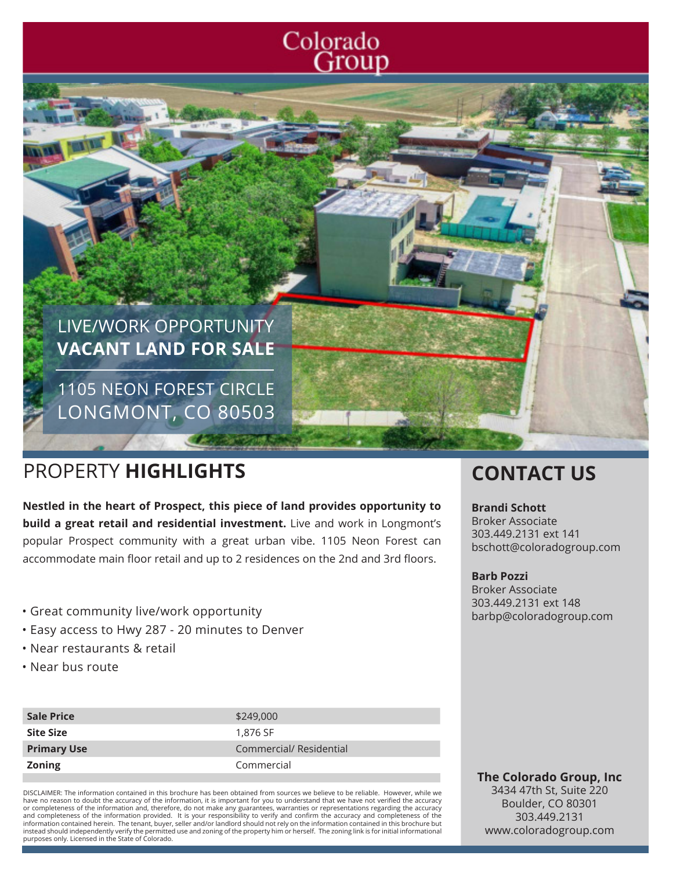



1105 NEON FOREST CIRCLE LONGMONT, CO 80503

# PROPERTY **HIGHLIGHTS CONTACT US**

**Nestled in the heart of Prospect, this piece of land provides opportunity to build a great retail and residential investment.** Live and work in Longmont's popular Prospect community with a great urban vibe. 1105 Neon Forest can accommodate main floor retail and up to 2 residences on the 2nd and 3rd floors.

- Great community live/work opportunity
- Easy access to Hwy 287 20 minutes to Denver
- Near restaurants & retail
- Near bus route

| <b>Sale Price</b>  | \$249,000               |
|--------------------|-------------------------|
| <b>Site Size</b>   | 1.876 SF                |
| <b>Primary Use</b> | Commercial/ Residential |
| <b>Zoning</b>      | Commercial              |

DISCLAIMER: The information contained in this brochure has been obtained from sources we believe to be reliable. However, while we have no reason to doubt the accuracy of the information, it is important for you to understand that we have not verified the accuracy or completeness of the information and, therefore, do not make any guarantees, warranties or representations regarding the accuracy<br>and completeness of the information provided. It is your responsibility to verify and con information contained herein. The tenant, buyer, seller and/or landlord should not rely on the information contained in this brochure but instead should independently verify the permitted use and zoning of the property him or herself. The zoning link is for initial informational purposes only. Licensed in the State of Colorado.

### **Brandi Schott**

Broker Associate 303.449.2131 ext 141 bschott@coloradogroup.com

#### **Barb Pozzi**

Broker Associate 303.449.2131 ext 148 barbp@coloradogroup.com

**The Colorado Group, Inc** 3434 47th St, Suite 220 Boulder, CO 80301 303.449.2131 www.coloradogroup.com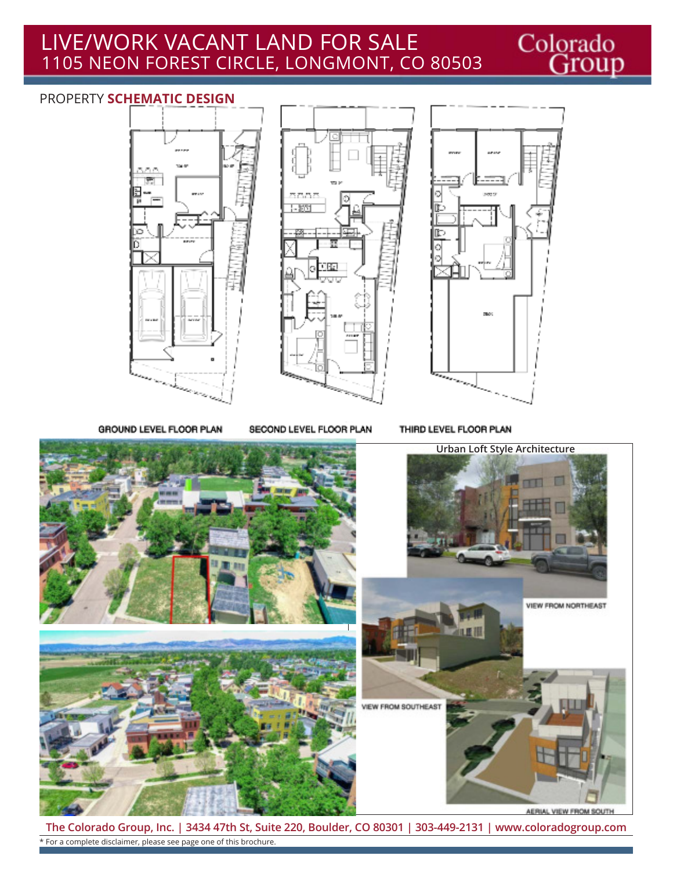## LIVE/WORK VACANT LAND FOR SALE 1105 NEON FOREST CIRCLE, LONGMONT, CO 80503

### PROPERTY **SCHEMATIC DESIGN**





Colorado<br>Group

GROUND LEVEL FLOOR PLAN

SECOND LEVEL FLOOR PLAN

THIRD LEVEL FLOOR PLAN



**The Colorado Group, Inc. | 3434 47th St, Suite 220, Boulder, CO 80301 | 303-449-2131 | www.coloradogroup.com** \* For a complete disclaimer, please see page one of this brochure.